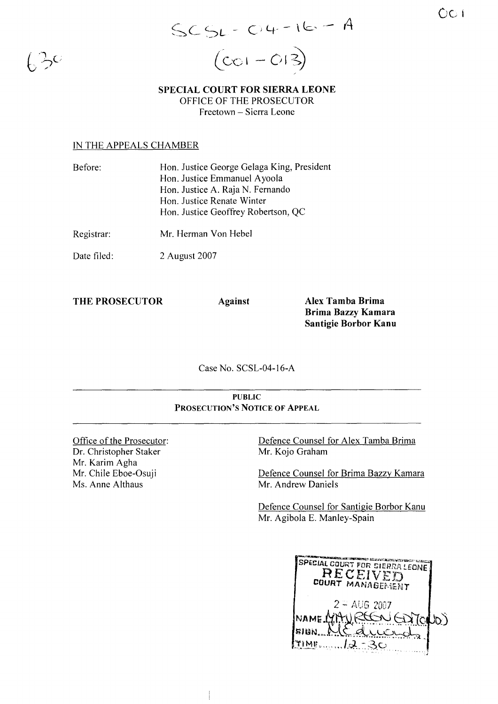OCI

 $\int_C$ 

 $SCSL - C.4 - 16 - A$  $\bigl(\mathsf{Col} - \mathsf{OI}\bigr)$ 

SPECIAL COURT FOR SIERRA LEONE OFFICE OF THE PROSECUTOR Freetown - Sierra Leone

#### IN THE APPEALS CHAMBER

| Before:     | Hon. Justice George Gelaga King, President |
|-------------|--------------------------------------------|
|             | Hon. Justice Emmanuel Ayoola               |
|             | Hon. Justice A. Raja N. Fernando           |
|             | Hon. Justice Renate Winter                 |
|             | Hon. Justice Geoffrey Robertson, QC        |
| Registrar:  | Mr. Herman Von Hebel                       |
| Date filed: | 2 August 2007                              |

THE PROSECUTOR Against

Alex Tamba Brima Brima Bazzy Kamara Santigie Borbor Kanu

Case No. SCSL-04-I6-A

#### PUBLIC PROSECUTION'S NOTICE OF ApPEAL

Office of the Prosecutor: Dr. Christopher Staker Mr. Karim Agha Mr. Chile Eboe-Osuji Ms. Anne Althaus

Defence Counsel for Alex Tamba Brima Mr. Kojo Graham

Defence Counsel for Brima Bazzy Kamara Mr. Andrew Daniels

Defence Counsel for Santigie Borbor Kanu Mr. Agibola E. Manley-Spain

| SPECIAL COURT FOR SIERRA LEONE<br>RECEIVED<br>COURT MANAGEMENT |  |
|----------------------------------------------------------------|--|
| $2 - A \cup 6 2007$<br>NAME.<br>GOTONO)<br>SIGN<br>一定          |  |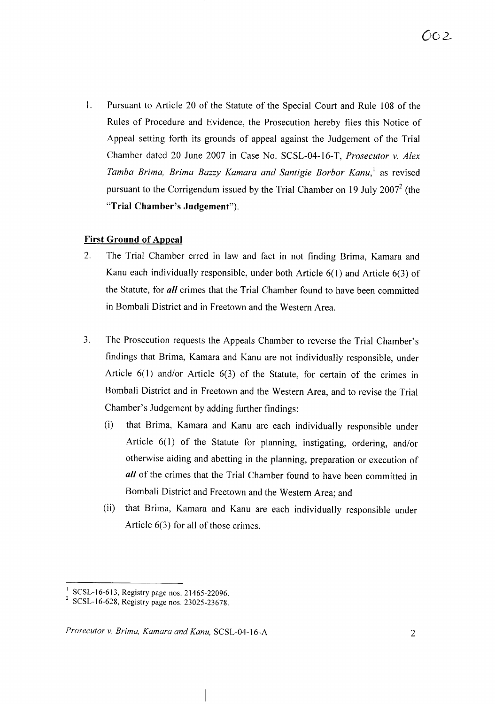1. Pursuant to Article 20 of the Statute of the Special Court and Rule 108 of the Rules of Procedure and Evidence, the Prosecution hereby files this Notice of Appeal setting forth its grounds of appeal against the Judgement of the Trial Chamber dated 20 June 2007 in Case No. SCSL-04-16-T, *Prosecutor v. Alex Tamba Brima, Brima Bazzy Kamara and Santigie Borbor Kanu,* as revised pursuant to the Corrigen dum issued by the Trial Chamber on 19 July 2007<sup>2</sup> (the "Trial Chamber's Judgement").

# **First Ground of Appeal**

- 2. The Trial Chamber erred in law and fact in not finding Brima, Kamara and Kanu each individually responsible, under both Article  $6(1)$  and Article  $6(3)$  of the Statute, for *all* crimes that the Trial Chamber found to have been committed in Bombali District and in Freetown and the Western Area.
- 3. The Prosecution requests the Appeals Chamber to reverse the Trial Chamber's findings that Brima, Kamara and Kanu are not individually responsible, under Article  $6(1)$  and/or Article  $6(3)$  of the Statute, for certain of the crimes in Bombali District and in Freetown and the Western Area, and to revise the Trial Chamber's Judgement by adding further findings:
	- (i) that Brima, Kamara and Kanu are each individually responsible under Article  $6(1)$  of the Statute for planning, instigating, ordering, and/or otherwise aiding and abetting in the planning, preparation or execution of *all* of the crimes that the Trial Chamber found to have been committed in Bombali District and Freetown and the Western Area; and
	- (ii) that Brima, Kamara and Kanu are each individually responsible under Article  $6(3)$  for all of those crimes.

SCSL-16-613, Registry page nos. 21465 22096.

<sup>&</sup>lt;sup>2</sup> SCSL-16-628, Registry page nos. 23025 23678.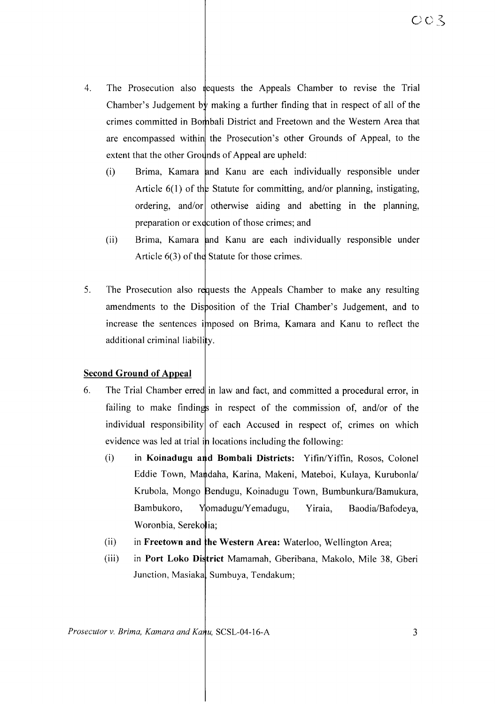- 4. The Prosecution also requests the Appeals Chamber to revise the Trial Chamber's Judgement by making a further finding that in respect of all of the crimes committed in Bombali District and Freetown and the Western Area that are encompassed within the Prosecution's other Grounds of Appeal, to the extent that the other Grounds of Appeal are upheld:
	- (i) Brima, Kamara and Kanu are each individually responsible under Article  $6(1)$  of the Statute for committing, and/or planning, instigating, ordering, and/or otherwise aiding and abetting in the planning, preparation or execution of those crimes; and
	- (ii) Brima, Kamara and Kanu are each individually responsible under Article  $6(3)$  of the Statute for those crimes.
- 5. The Prosecution also requests the Appeals Chamber to make any resulting amendments to the Disposition of the Trial Chamber's Judgement, and to increase the sentences imposed on Brima, Kamara and Kanu to reflect the additional criminal liability.

## **Second Ground of Appeal**

- 6. The Trial Chamber erred in law and fact, and committed a procedural error, in failing to make findings in respect of the commission of, and/or of the individual responsibility of each Accused in respect of, crimes on which evidence was led at trial in locations including the following:
	- (i) in **Koinadugu a d Bombali Districts:** Yifin/Yiffin, Rosos, Colonel Eddie Town, Mandaha, Karina, Makeni, Mateboi, Kulaya, Kurubonla/ Krubola, Mongo Bendugu, Koinadugu Town, Bumbunkura/Bamukura, Bambukoro, Yomadugu/Yemadugu, Yiraia, Baodia/Bafodeya, Woronbia, Serekolia;
	- (ii) in **Freetown and he Western Area:** Waterloo, Wellington Area;
	- (iii) in **Port Loko Di trict** Mamamah, Gberibana, Makolo, Mile 38, Gberi Junction, Masiaka, Sumbuya, Tendakum;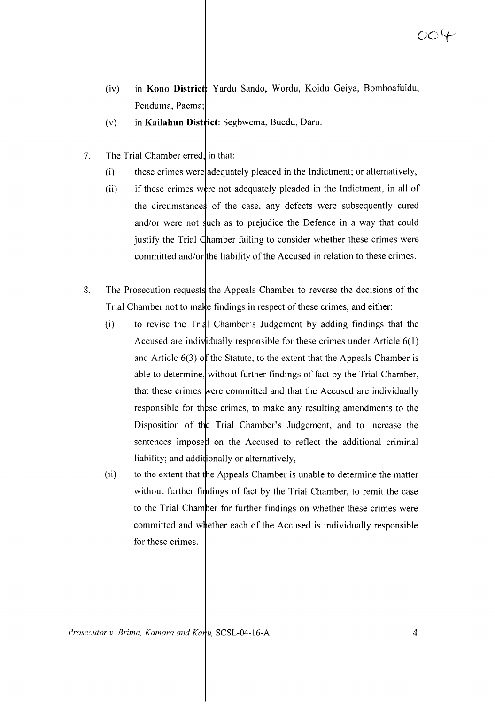- (iv) in **Kono Distrie** Yardu Sando, Wordu, Koidu Geiya, Bomboafuidu, Penduma, Paema;
- (v) in **Kailahun Dist iet:** Segbwema, Buedu, Daru.
- 7. The Trial Chamber erred, in that:
	- (i) these crimes were adequately pleaded in the Indictment; or alternatively,
	- (ii) if these crimes were not adequately pleaded in the Indictment, in all of the circumstances of the case, any defects were subsequently cured and/or were not such as to prejudice the Defence in a way that could justify the Trial Chamber failing to consider whether these crimes were committed and/or|the liability of the Accused in relation to these crimes.
- 8. The Prosecution requests the Appeals Chamber to reverse the decisions of the Trial Chamber not to make findings in respect of these crimes, and either:
	- (i) to revise the Trial Chamber's Judgement by adding findings that the Accused are individually responsible for these crimes under Article  $6(1)$ and Article  $6(3)$  of the Statute, to the extent that the Appeals Chamber is able to determine, without further findings of fact by the Trial Chamber, that these crimes were committed and that the Accused are individually responsible for these crimes, to make any resulting amendments to the Disposition of the Trial Chamber's Judgement, and to increase the sentences imposed on the Accused to reflect the additional criminal liability; and additionally or alternatively,
	- (ii) to the extent that the Appeals Chamber is unable to determine the matter without further findings of fact by the Trial Chamber, to remit the case to the Trial Chamber for further findings on whether these crimes were committed and whether each of the Accused is individually responsible for these crimes.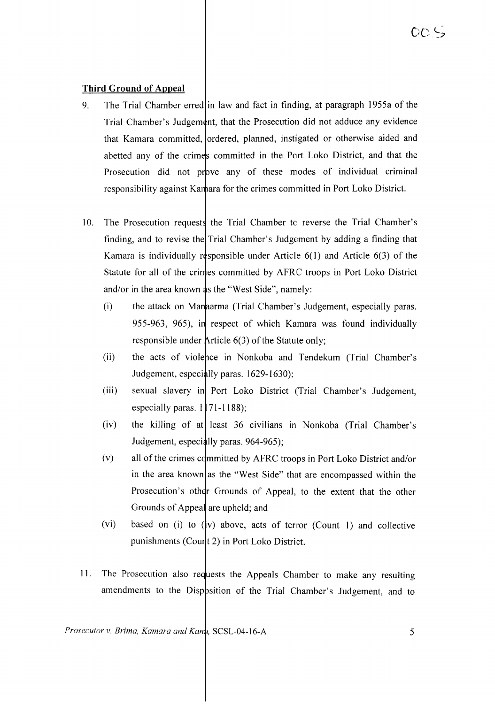## **Third Ground of Appeal**

- 9. The Trial Chamber erred in law and fact in finding, at paragraph 1955a of the Trial Chamber's Judgement, that the Prosecution did not adduce any evidence that Kamara committed, ordered, planned, instigated or otherwise aided and abetted any of the crimes committed in the Port Loko District, and that the Prosecution did not prove any of these modes of individual criminal responsibility against Kamara for the crimes committed in Port Loko District.
- 10. The Prosecution requests the Trial Chamber to reverse the Trial Chamber's finding, and to revise the Trial Chamber's Judgement by adding a finding that Kamara is individually responsible under Article  $6(1)$  and Article  $6(3)$  of the Statute for all of the crimes committed by AFRC troops in Port Loko District and/or in the area known  $\phi$ s the "West Side", namely:
	- $(i)$  the attack on Mana arma (Trial Chamber's Judgement, especially paras. 955-963, 965), in respect of which Kamara was found individually responsible under Article  $6(3)$  of the Statute only;
	- (ii) the acts of violence in Nonkoba and Tendekum (Trial Chamber's Judgement, especially paras. 1629-1630);
	- (iii) sexual slavery in Port Loko District (Trial Chamber's Judgement, especially paras.  $1$  71-1188);
	- $(iv)$  the killing of at least 36 civilians in Nonkoba (Trial Chamber's Judgement, especially paras. 964-965);
	- $(v)$  all of the crimes committed by AFRC troops in Port Loko District and/or in the area known as the "West Side" that are encompassed within the Prosecution's other Grounds of Appeal, to the extent that the other Grounds of Appeal are upheld; and
	- (vi) based on (i) to  $(y)$  above, acts of terror (Count 1) and collective punishments (Count 2) in Port Loko District.
- 11. The Prosecution also requests the Appeals Chamber to make any resulting amendments to the Disp psition of the Trial Chamber's Judgement, and to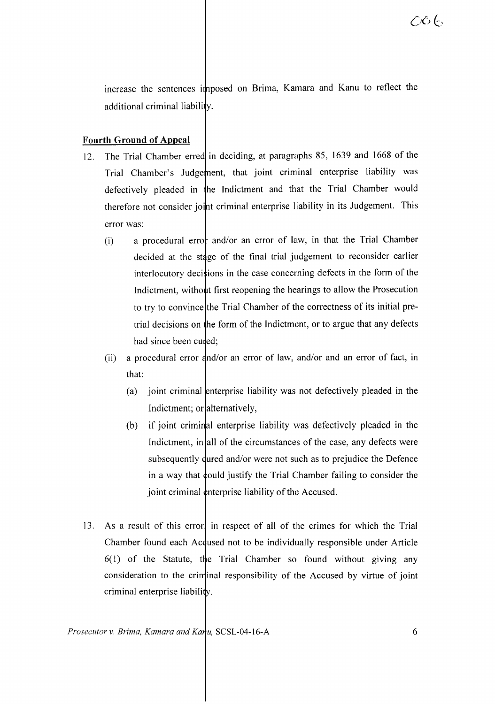increase the sentences imposed on Brima, Kamara and Kanu to reflect the additional criminal liability.

# **Fourth Ground of Appeal**

- 12. The Trial Chamber erred in deciding, at paragraphs 85, 1639 and 1668 of the Trial Chamber's Judgement, that joint criminal enterprise liability was defectively pleaded in he Indictment and that the Trial Chamber would therefore not consider joint criminal enterprise liability in its Judgement. This error was:
	- (i) a procedural error and/or an error of law, in that the Trial Chamber decided at the stage of the final trial judgement to reconsider earlier interlocutory decistions in the case concerning defects in the form of the Indictment, without first reopening the hearings to allow the Prosecution to try to convince the Trial Chamber of the correctness of its initial pretrial decisions on the form of the Indictment, or to argue that any defects had since been cured;
	- (ii) a procedural error  $\frac{d}{d}$  or an error of law, and/or and an error of fact, in that:
		- (a) joint criminal enterprise liability was not defectively pleaded in the Indictment; or alternatively,
		- (b) if joint criminal enterprise liability was defectively pleaded in the Indictment, in all of the circumstances of the case, any defects were subsequently dured and/or were not such as to prejudice the Defence in a way that **c**ould justify the Trial Chamber failing to consider the joint criminal  $\phi$ nterprise liability of the Accused.
- 13. As a result of this error in respect of all of the crimes for which the Trial Chamber found each Acquised not to be individually responsible under Article  $6(1)$  of the Statute, the Trial Chamber so found without giving any consideration to the criminal responsibility of the Accused by virtue of joint criminal enterprise liability.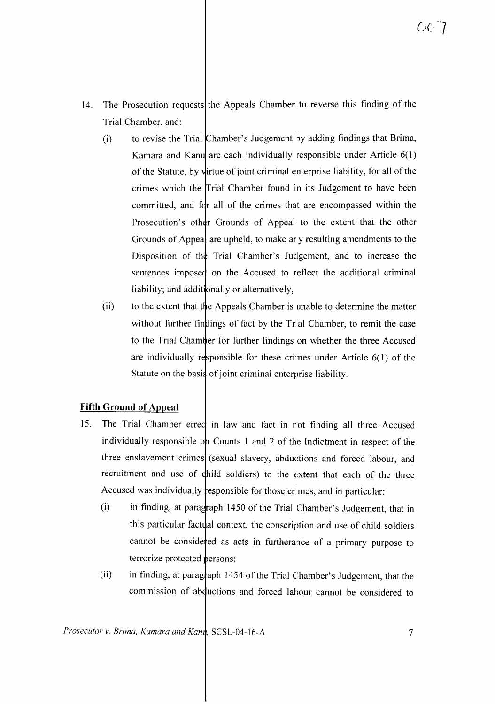- 14. The Prosecution requests the Appeals Chamber to reverse this finding of the Trial Chamber, and:
	- $(i)$  to revise the Trial Chamber's Judgement by adding findings that Brima, Kamara and Kanu are each individually responsible under Article  $6(1)$ of the Statute, by virtue of joint criminal enterprise liability, for all of the crimes which the Trial Chamber found in its Judgement to have been committed, and for all of the crimes that are encompassed within the Prosecution's other Grounds of Appeal to the extent that the other Grounds of Appea, are upheld, to make any resulting amendments to the Disposition of the Trial Chamber's Judgement, and to increase the sentences imposed on the Accused to reflect the additional criminal liability; and additionally or alternatively,
	- (ii) to the extent that the Appeals Chamber is unable to determine the matter without further findings of fact by the Trial Chamber, to remit the case to the Trial Chamber for further findings on whether the three Accused are individually responsible for these crimes under Article  $6(1)$  of the Statute on the basis of joint criminal enterprise liability.

## **Fifth Ground of Appeal**

- 15. The Trial Chamber erred in law and fact in not finding all three Accused individually responsible on Counts 1 and 2 of the Indictment in respect of the three enslavement crimes (sexual slavery, abductions and forced labour, and recruitment and use of child soldiers) to the extent that each of the three Accused was individually responsible for those crimes, and in particular:
	- $(i)$  in finding, at paragraph 1450 of the Trial Chamber's Judgement, that in this particular factual context, the conscription and use of child soldiers cannot be considered as acts in furtherance of a primary purpose to terrorize protected **p**ersons;
	- (ii) in finding, at paragraph 1454 of the Trial Chamber's Judgement, that the commission of abductions and forced labour cannot be considered to

*Prosecutor v. Brima, Kamara and Kanu, SCSL-04-16-A* 7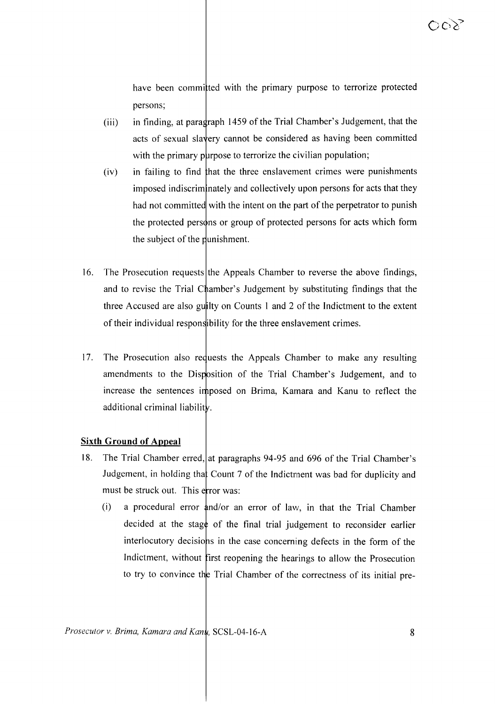have been committed with the primary purpose to terrorize protected persons;

- $(iii)$  in finding, at paragraph 1459 of the Trial Chamber's Judgement, that the acts of sexual slavery cannot be considered as having been committed with the primary purpose to terrorize the civilian population;
- (iv) in failing to find hat the three enslavement crimes were punishments imposed indiscriminately and collectively upon persons for acts that they had not committed with the intent on the part of the perpetrator to punish the protected persons or group of protected persons for acts which form the subject of the punishment.
- 16. The Prosecution requests the Appeals Chamber to reverse the above findings, and to revise the Trial Chamber's Judgement by substituting findings that the three Accused are also guilty on Counts 1 and 2 of the Indictment to the extent of their individual responsibility for the three enslavement crimes.
- 17. The Prosecution also reduests the Appeals Chamber to make any resulting amendments to the Disposition of the Trial Chamber's Judgement, and to increase the sentences imposed on Brima, Karnara and Kanu to reflect the additional criminal liability.

#### **Sixth Ground of Appeal**

- 18. The Trial Chamber erred, at paragraphs 94-95 and 696 of the Trial Chamber's Judgement, in holding that Count 7 of the Indictment was bad for duplicity and must be struck out. This error was:
	- (i) a procedural error  $\frac{1}{4}$ nd/or an error of law, in that the Trial Chamber decided at the stage of the final trial judgement to reconsider earlier interlocutory decisions in the case concerning defects in the form of the Indictment, without first reopening the hearings to allow the Prosecution to try to convince the Trial Chamber of the correctness of its initial pre-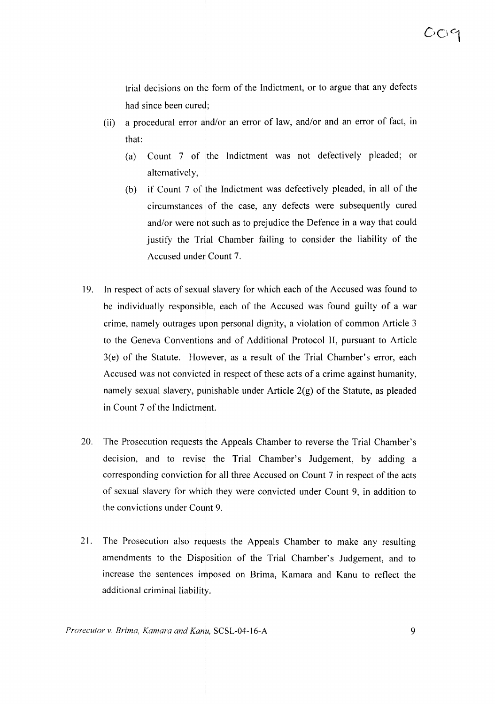trial decisions on th¢ form of the Indictment, or to argue that any defects had since been cured;

- (ii) a procedural error ahd/or an error of law, and/or and an error of fact, in that:
	- (a) Count 7 of the Indictment was not defectively pleaded; or alternatively,
	- (b) if Count 7 of the Indictment was defectively pleaded, in all of the circumstances of the case, any defects were subsequently cured and/or were ndt such as to prejudice the Defence in a way that could justify the Trial Chamber failing to consider the liability of the Accused under Count 7.
- 19. In respect of acts of sexual slavery for which each of the Accused was found to be individually responsibile, each of the Accused was found guilty of a war crime, namely outrages *uwon* personal dignity, a violation of common Article 3 to the Geneva Conventions and of Additional Protocol II, pursuant to Article  $3(e)$  of the Statute. However, as a result of the Trial Chamber's error, each Accused was not convicted in respect of these acts of a crime against humanity, namely sexual slavery, punishable under Article  $2(g)$  of the Statute, as pleaded in Count 7 of the Indictment.
- 20. The Prosecution requests the Appeals Chamber to reverse the Trial Chamber's decision, and to revise the Trial Chamber's Judgement, by adding a corresponding conviction for all three Accused on Count 7 in respect of the acts of sexual slavery for which they were convicted under Count 9, in addition to the convictions under Count 9.
- 21. The Prosecution also requests the Appeals Chamber to make any resulting amendments to the Disppsition of the Trial Chamber's Judgement, and to increase the sentences imposed on Brima, Kamara and Kanu to reflect the additional criminal liability.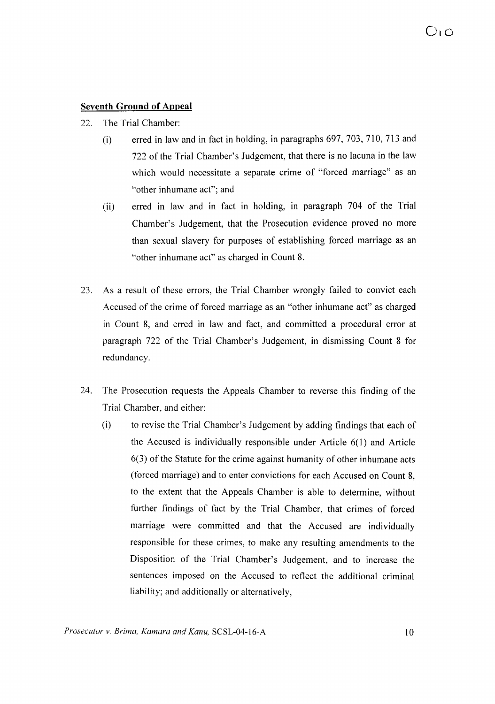### **Seventh Ground of Appeal**

- 22. The Trial Chamber:
	- (i) erred in law and in fact in holding, in paragraphs 697, 703, 710, 713 and 722 of the Trial Chamber's Judgement, that there is no lacuna in the law which would necessitate a separate crime of "forced marriage" as an "other inhumane act"; and
	- (ii) erred in law and in fact in holding, in paragraph 704 of the Trial Chamber's Judgement, that the Prosecution evidence proved no more than sexual slavery for purposes of establishing forced marriage as an "other inhumane act" as charged in Count 8.
- 23. As a result of these errors, the Trial Chamber wrongly failed to convict each Accused of the crime of forced marriage as an "other inhumane act" as charged in Count 8, and erred in law and fact, and committed a procedural error at paragraph 722 of the Trial Chamber's Judgement, in dismissing Count 8 for redundancy.
- 24. The Prosecution requests the Appeals Chamber to reverse this finding of the Trial Chamber, and either:
	- (i) to revise the Trial Chamber's Judgement by adding findings that each of the Accused is individually responsible under Article 6(1) and Article 6(3) of the Statute for the crime against humanity of other inhumane acts (forced marriage) and to enter convictions for each Accused on Count 8, to the extent that the Appeals Chamber is able to determine, without further findings of fact by the Trial Chamber, that crimes of forced marriage were committed and that the Accused are individually responsible for these crimes, to make any resulting amendments to the Disposition of the Trial Chamber's Judgement, and to increase the sentences imposed on the Accused to reflect the additional criminal liability; and additionally or alternatively,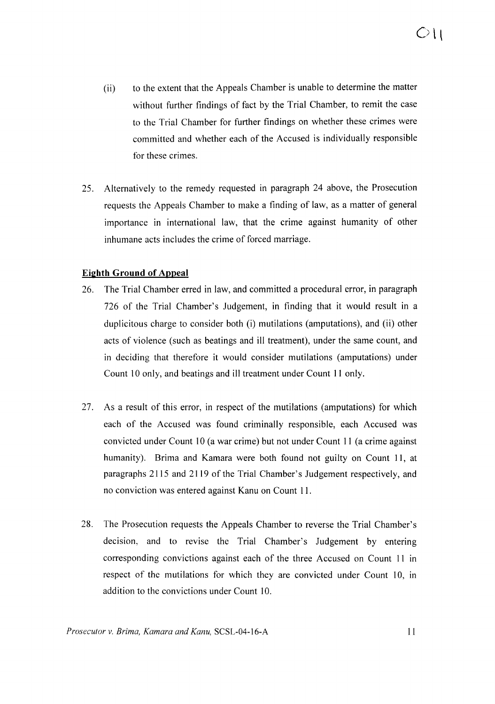- (ii) to the extent that the Appeals Chamber is unable to determine the matter without further findings of fact by the Trial Chamber, to remit the case to the Trial Chamber for further findings on whether these crimes were committed and whether each of the Accused is individually responsible for these crimes.
- 25. Alternatively to the remedy requested in paragraph 24 above, the Prosecution requests the Appeals Chamber to make a finding of law, as a matter of general importance in international law, that the crime against humanity of other inhumane acts includes the crime of forced marriage.

### **Ei2hth Ground of Appeal**

- 26. The Trial Chamber erred in law, and committed a procedural error, in paragraph 726 of the Trial Chamber's Judgement, in finding that it would result in a duplicitous charge to consider both (i) mutilations (amputations), and (ii) other acts of violence (such as beatings and ill treatment), under the same count, and in deciding that therefore it would consider mutilations (amputations) under Count 10 only, and beatings and ill treatment under Count 11 only.
- 27. As a result of this error, in respect of the mutilations (amputations) for which each of the Accused was found criminally responsible, each Accused was convicted under Count 10 (a war crime) but not under Count 11 (a crime against humanity). Brima and Kamara were both found not guilty on Count 11, at paragraphs 2115 and 2119 of the Trial Chamber's Judgement respectively, and no conviction was entered against Kanu on Count 11.
- 28. The Prosecution requests the Appeals Chamber to reverse the Trial Chamber's decision, and to revise the Trial Chamber's Judgement by entering corresponding convictions against each of the three Accused on Count 11 in respect of the mutilations for which they are convicted under Count 10, In addition to the convictions under Count 10.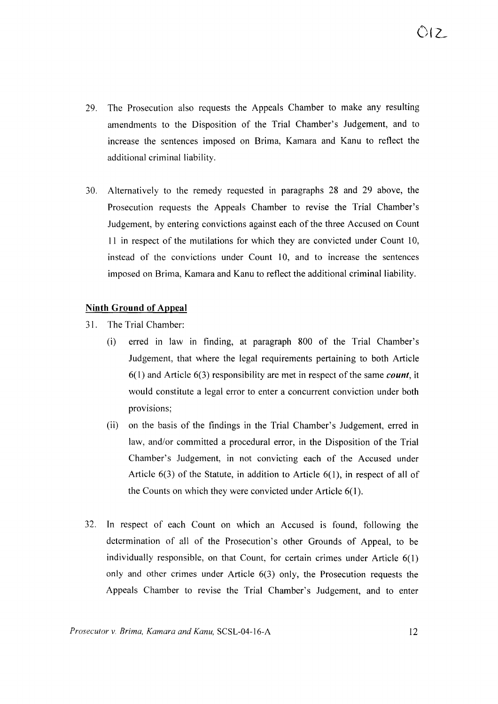- 29. The Prosecution also requests the Appeals Chamber to make any resulting amendments to the Disposition of the Trial Chamber's Judgement, and to increase the sentences imposed on Brima, Kamara and Kanu to reflect the additional criminal liability.
- 30. Alternatively to the remedy requested in paragraphs 28 and 29 above, the Prosecution requests the Appeals Chamber to revise the Trial Chamber's Judgement, by entering convictions against each of the three Accused on Count 11 in respect of the mutilations for which they are convicted under Count 10, instead of the convictions under Count 10, and to increase the sentences imposed on Brima, Kamara and Kanu to reflect the additional criminal liability.

#### **Ninth Ground of Appeal**

- 31. The Trial Chamber:
	- (i) erred in law in finding, at paragraph 800 of the Trial Chamber's Judgement, that where the legal requirements pertaining to both Article  $6(1)$  and Article  $6(3)$  responsibility are met in respect of the same *count*, it would constitute a legal error to enter a concurrent conviction under both provisions;
	- (ii) on the basis of the findings in the Trial Chamber's Judgement, erred in law, and/or committed a procedural error, in the Disposition of the Trial Chamber's Judgement, in not convicting each of the Accused under Article 6(3) of the Statute, in addition to Article 6(1), in respect of all of the Counts on which they were convicted under Article 6(1).
- 32. **In** respect of each Count on which an Accused is found, following the determination of all of the Prosecution's other Grounds of Appeal, to be individually responsible, on that Count, for certain crimes under Article 6(1) only and other crimes under Article 6(3) only, the Prosecution requests the Appeals Chamber to revise the Trial Chamber's Judgement, and to enter